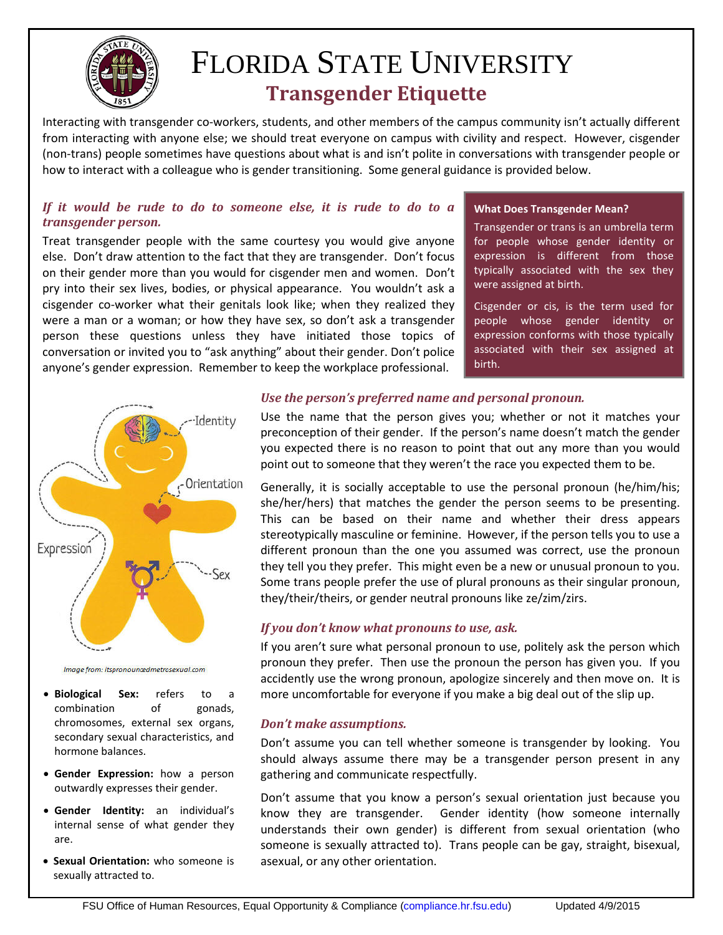

# FLORIDA STATE UNIVERSITY  **Transgender Etiquette**

Interacting with transgender co-workers, students, and other members of the campus community isn't actually different from interacting with anyone else; we should treat everyone on campus with civility and respect. However, cisgender (non-trans) people sometimes have questions about what is and isn't polite in conversations with transgender people or how to interact with a colleague who is gender transitioning. Some general guidance is provided below.

# *If it would be rude to do to someone else, it is rude to do to a transgender person.*

Treat transgender people with the same courtesy you would give anyone else. Don't draw attention to the fact that they are transgender. Don't focus on their gender more than you would for cisgender men and women. Don't pry into their sex lives, bodies, or physical appearance. You wouldn't ask a cisgender co-worker what their genitals look like; when they realized they were a man or a woman; or how they have sex, so don't ask a transgender person these questions unless they have initiated those topics of conversation or invited you to "ask anything" about their gender. Don't police anyone's gender expression. Remember to keep the workplace professional.

#### **What Does Transgender Mean?**

Transgender or trans is an umbrella term for people whose gender identity or expression is different from those typically associated with the sex they were assigned at birth.

Cisgender or cis, is the term used for people whose gender identity or expression conforms with those typically associated with their sex assigned at birth.



Image from: itspronouncedmetrosexual.com

- **Biological Sex:** refers to a combination of gonads, chromosomes, external sex organs, secondary sexual characteristics, and hormone balances.
- **Gender Expression:** how a person outwardly expresses their gender.
- **Gender Identity:** an individual's internal sense of what gender they are.
- **Sexual Orientation:** who someone is sexually attracted to.

## *Use the person's preferred name and personal pronoun.*

Use the name that the person gives you; whether or not it matches your preconception of their gender. If the person's name doesn't match the gender you expected there is no reason to point that out any more than you would point out to someone that they weren't the race you expected them to be.

Generally, it is socially acceptable to use the personal pronoun (he/him/his; she/her/hers) that matches the gender the person seems to be presenting. This can be based on their name and whether their dress appears stereotypically masculine or feminine. However, if the person tells you to use a different pronoun than the one you assumed was correct, use the pronoun they tell you they prefer. This might even be a new or unusual pronoun to you. Some trans people prefer the use of plural pronouns as their singular pronoun, they/their/theirs, or gender neutral pronouns like ze/zim/zirs.

# *If you don't know what pronouns to use, ask.*

If you aren't sure what personal pronoun to use, politely ask the person which pronoun they prefer. Then use the pronoun the person has given you. If you accidently use the wrong pronoun, apologize sincerely and then move on. It is more uncomfortable for everyone if you make a big deal out of the slip up.

# *Don't make assumptions.*

Don't assume you can tell whether someone is transgender by looking. You should always assume there may be a transgender person present in any gathering and communicate respectfully.

Don't assume that you know a person's sexual orientation just because you know they are transgender. Gender identity (how someone internally understands their own gender) is different from sexual orientation (who someone is sexually attracted to). Trans people can be gay, straight, bisexual, asexual, or any other orientation.